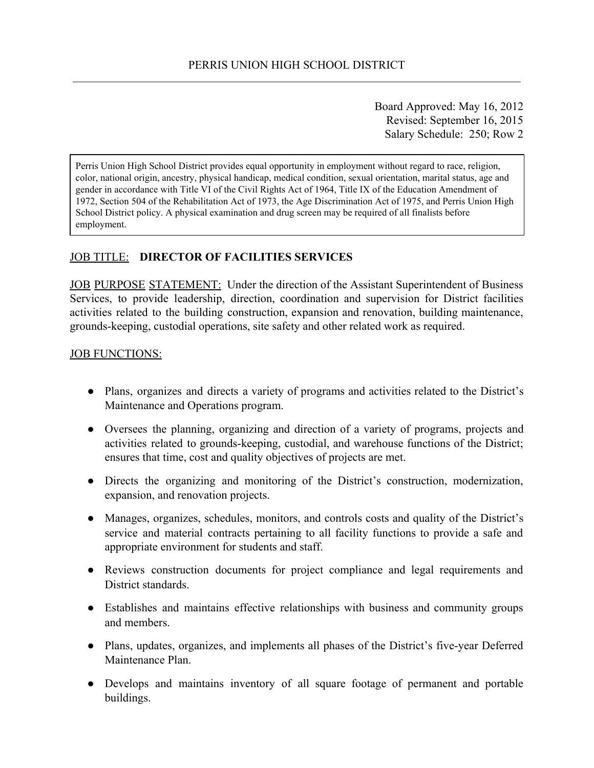Board Approved: May 16, 2012 Revised: September 16, 2015 Salary Schedule: 250; Row 2

Perris Union High School District provides equal opportunity in employment without regard to race, religion, color, national origin, ancestry, physical handicap, medical condition, sexual orientation, marital status, age and gender in accordance with Title VI of the Civil Rights Act of 1964, Title IX of the Education Amendment of 1972, Section 504 of the Rehabilitation Act of 1973, the Age Discrimination Act of 1975, and Perris Union High School District policy. A physical examination and drug screen may be required of all finalists before employment.

## JOB TITLE: **DIRECTOR OF FACILITIES SERVICES**

JOB PURPOSE STATEMENT: Under the direction of the Assistant Superintendent of Business Services, to provide leadership, direction, coordination and supervision for District facilities activities related to the building construction, expansion and renovation, building maintenance, grounds-keeping, custodial operations, site safety and other related work as required.

#### JOB FUNCTIONS:

- Plans, organizes and directs a variety of programs and activities related to the District's Maintenance and Operations program.
- Oversees the planning, organizing and direction of a variety of programs, projects and activities related to grounds-keeping, custodial, and warehouse functions of the District; ensures that time, cost and quality objectives of projects are met.
- Directs the organizing and monitoring of the District's construction, modernization, expansion, and renovation projects.
- Manages, organizes, schedules, monitors, and controls costs and quality of the District's service and material contracts pertaining to all facility functions to provide a safe and appropriate environment for students and staff.
- Reviews construction documents for project compliance and legal requirements and District standards.
- Establishes and maintains effective relationships with business and community groups and members.
- Plans, updates, organizes, and implements all phases of the District's five-year Deferred Maintenance Plan.
- Develops and maintains inventory of all square footage of permanent and portable buildings.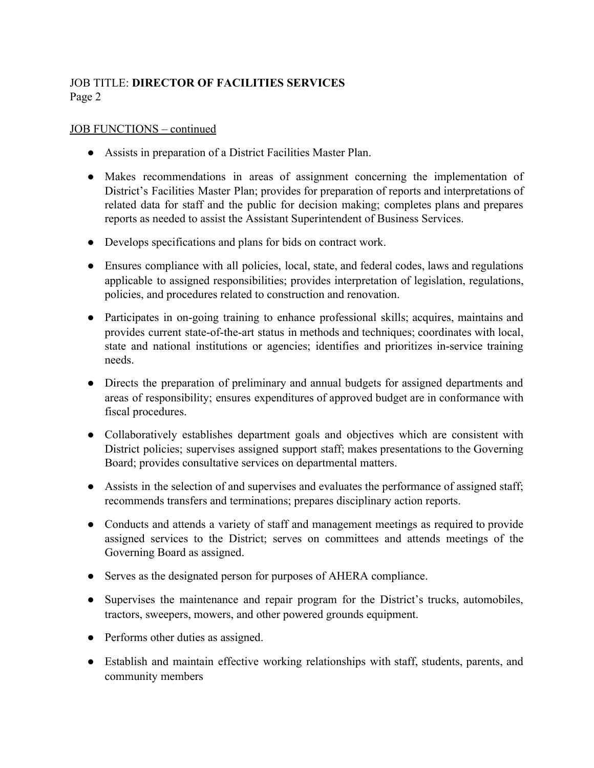## JOB FUNCTIONS – continued

- Assists in preparation of a District Facilities Master Plan.
- Makes recommendations in areas of assignment concerning the implementation of District's Facilities Master Plan; provides for preparation of reports and interpretations of related data for staff and the public for decision making; completes plans and prepares reports as needed to assist the Assistant Superintendent of Business Services.
- Develops specifications and plans for bids on contract work.
- Ensures compliance with all policies, local, state, and federal codes, laws and regulations applicable to assigned responsibilities; provides interpretation of legislation, regulations, policies, and procedures related to construction and renovation.
- Participates in on-going training to enhance professional skills; acquires, maintains and provides current state-of-the-art status in methods and techniques; coordinates with local, state and national institutions or agencies; identifies and prioritizes in-service training needs.
- Directs the preparation of preliminary and annual budgets for assigned departments and areas of responsibility; ensures expenditures of approved budget are in conformance with fiscal procedures.
- Collaboratively establishes department goals and objectives which are consistent with District policies; supervises assigned support staff; makes presentations to the Governing Board; provides consultative services on departmental matters.
- Assists in the selection of and supervises and evaluates the performance of assigned staff; recommends transfers and terminations; prepares disciplinary action reports.
- Conducts and attends a variety of staff and management meetings as required to provide assigned services to the District; serves on committees and attends meetings of the Governing Board as assigned.
- Serves as the designated person for purposes of AHERA compliance.
- Supervises the maintenance and repair program for the District's trucks, automobiles, tractors, sweepers, mowers, and other powered grounds equipment.
- Performs other duties as assigned.
- Establish and maintain effective working relationships with staff, students, parents, and community members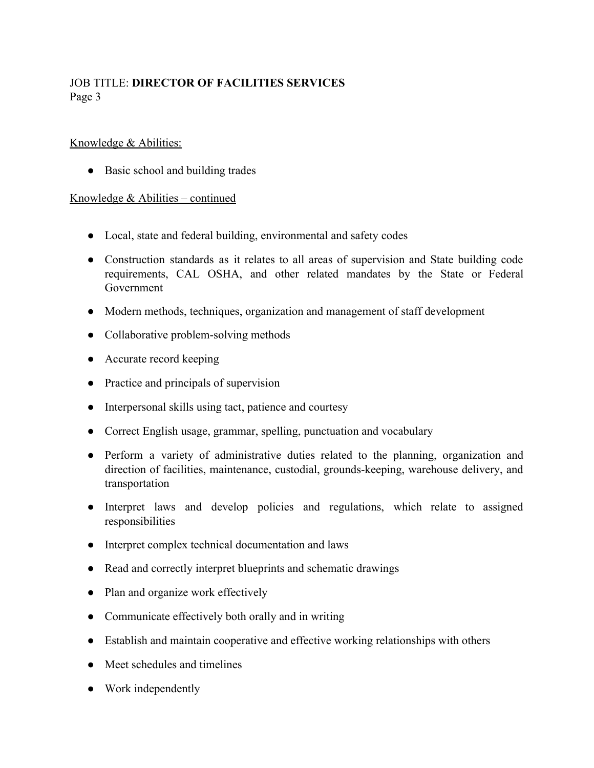## Knowledge & Abilities:

• Basic school and building trades

## Knowledge & Abilities – continued

- Local, state and federal building, environmental and safety codes
- Construction standards as it relates to all areas of supervision and State building code requirements, CAL OSHA, and other related mandates by the State or Federal Government
- Modern methods, techniques, organization and management of staff development
- Collaborative problem-solving methods
- Accurate record keeping
- Practice and principals of supervision
- Interpersonal skills using tact, patience and courtesy
- Correct English usage, grammar, spelling, punctuation and vocabulary
- Perform a variety of administrative duties related to the planning, organization and direction of facilities, maintenance, custodial, grounds-keeping, warehouse delivery, and transportation
- Interpret laws and develop policies and regulations, which relate to assigned responsibilities
- Interpret complex technical documentation and laws
- Read and correctly interpret blueprints and schematic drawings
- Plan and organize work effectively
- Communicate effectively both orally and in writing
- Establish and maintain cooperative and effective working relationships with others
- Meet schedules and timelines
- Work independently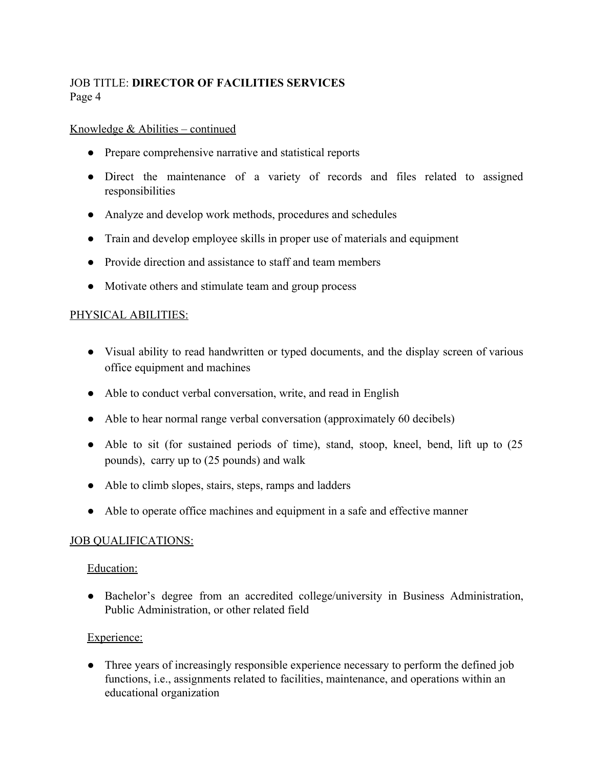#### Knowledge & Abilities – continued

- Prepare comprehensive narrative and statistical reports
- Direct the maintenance of a variety of records and files related to assigned responsibilities
- Analyze and develop work methods, procedures and schedules
- Train and develop employee skills in proper use of materials and equipment
- Provide direction and assistance to staff and team members
- Motivate others and stimulate team and group process

## PHYSICAL ABILITIES:

- Visual ability to read handwritten or typed documents, and the display screen of various office equipment and machines
- Able to conduct verbal conversation, write, and read in English
- Able to hear normal range verbal conversation (approximately 60 decibels)
- Able to sit (for sustained periods of time), stand, stoop, kneel, bend, lift up to (25) pounds), carry up to (25 pounds) and walk
- Able to climb slopes, stairs, steps, ramps and ladders
- Able to operate office machines and equipment in a safe and effective manner

## JOB QUALIFICATIONS:

#### Education:

● Bachelor's degree from an accredited college/university in Business Administration, Public Administration, or other related field

## Experience:

• Three years of increasingly responsible experience necessary to perform the defined job functions, i.e., assignments related to facilities, maintenance, and operations within an educational organization